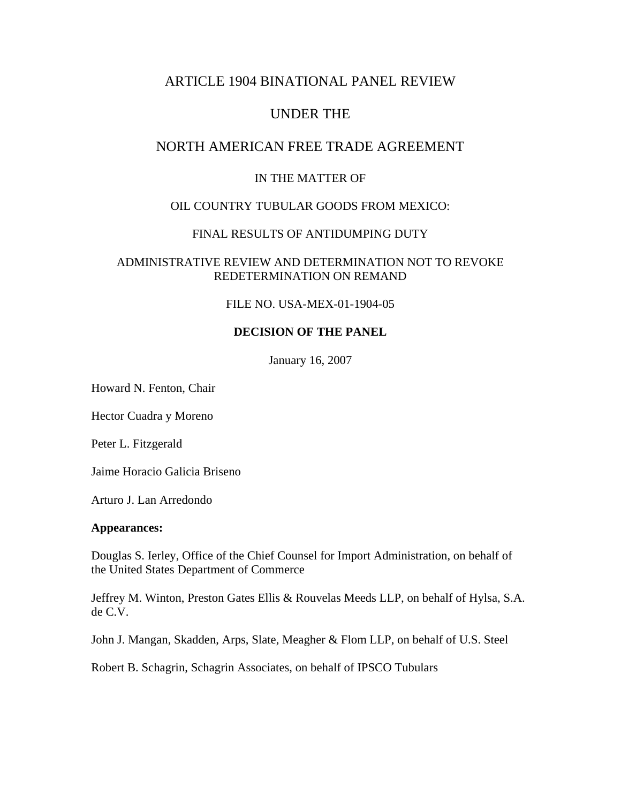# ARTICLE 1904 BINATIONAL PANEL REVIEW

# UNDER THE

## NORTH AMERICAN FREE TRADE AGREEMENT

## IN THE MATTER OF

### OIL COUNTRY TUBULAR GOODS FROM MEXICO:

## FINAL RESULTS OF ANTIDUMPING DUTY

### ADMINISTRATIVE REVIEW AND DETERMINATION NOT TO REVOKE REDETERMINATION ON REMAND

### FILE NO. USA-MEX-01-1904-05

## **DECISION OF THE PANEL**

January 16, 2007

Howard N. Fenton, Chair

Hector Cuadra y Moreno

Peter L. Fitzgerald

Jaime Horacio Galicia Briseno

Arturo J. Lan Arredondo

#### **Appearances:**

Douglas S. Ierley, Office of the Chief Counsel for Import Administration, on behalf of the United States Department of Commerce

Jeffrey M. Winton, Preston Gates Ellis & Rouvelas Meeds LLP, on behalf of Hylsa, S.A. de C.V.

John J. Mangan, Skadden, Arps, Slate, Meagher & Flom LLP, on behalf of U.S. Steel

Robert B. Schagrin, Schagrin Associates, on behalf of IPSCO Tubulars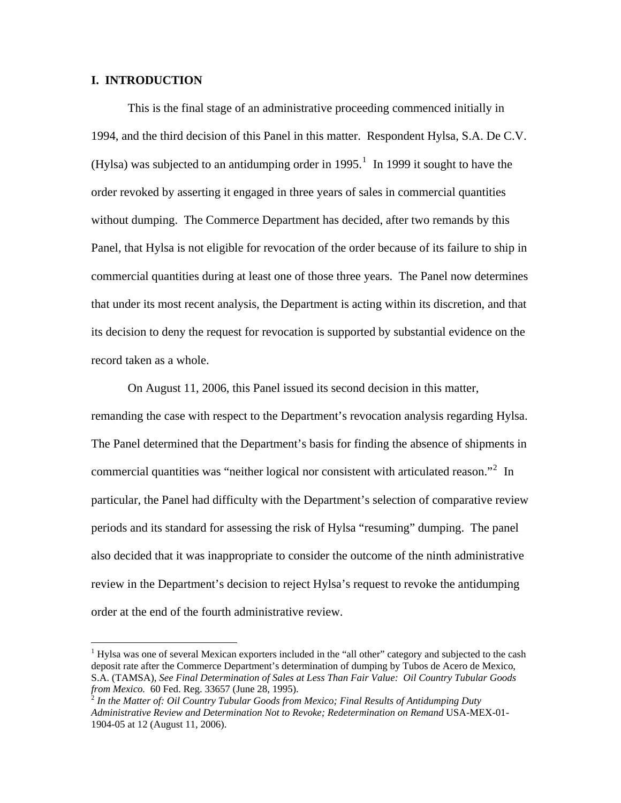#### **I. INTRODUCTION**

 $\overline{a}$ 

This is the final stage of an administrative proceeding commenced initially in 1994, and the third decision of this Panel in this matter. Respondent Hylsa, S.A. De C.V. (Hylsa) was subjected to an antidumping order in [1](#page-1-0)995.<sup>1</sup> In 1999 it sought to have the order revoked by asserting it engaged in three years of sales in commercial quantities without dumping. The Commerce Department has decided, after two remands by this Panel, that Hylsa is not eligible for revocation of the order because of its failure to ship in commercial quantities during at least one of those three years. The Panel now determines that under its most recent analysis, the Department is acting within its discretion, and that its decision to deny the request for revocation is supported by substantial evidence on the record taken as a whole.

 On August 11, 2006, this Panel issued its second decision in this matter, remanding the case with respect to the Department's revocation analysis regarding Hylsa. The Panel determined that the Department's basis for finding the absence of shipments in commercial quantities was "neither logical nor consistent with articulated reason."<sup>[2](#page-1-1)</sup> In particular, the Panel had difficulty with the Department's selection of comparative review periods and its standard for assessing the risk of Hylsa "resuming" dumping. The panel also decided that it was inappropriate to consider the outcome of the ninth administrative review in the Department's decision to reject Hylsa's request to revoke the antidumping order at the end of the fourth administrative review.

<span id="page-1-0"></span><sup>&</sup>lt;sup>1</sup> Hylsa was one of several Mexican exporters included in the "all other" category and subjected to the cash deposit rate after the Commerce Department's determination of dumping by Tubos de Acero de Mexico, S.A. (TAMSA), *See Final Determination of Sales at Less Than Fair Value: Oil Country Tubular Goods* 

<span id="page-1-1"></span><sup>&</sup>lt;sup>2</sup> In the Matter of: Oil Country Tubular Goods from Mexico; Final Results of Antidumping Duty *Administrative Review and Determination Not to Revoke; Redetermination on Remand* USA-MEX-01- 1904-05 at 12 (August 11, 2006).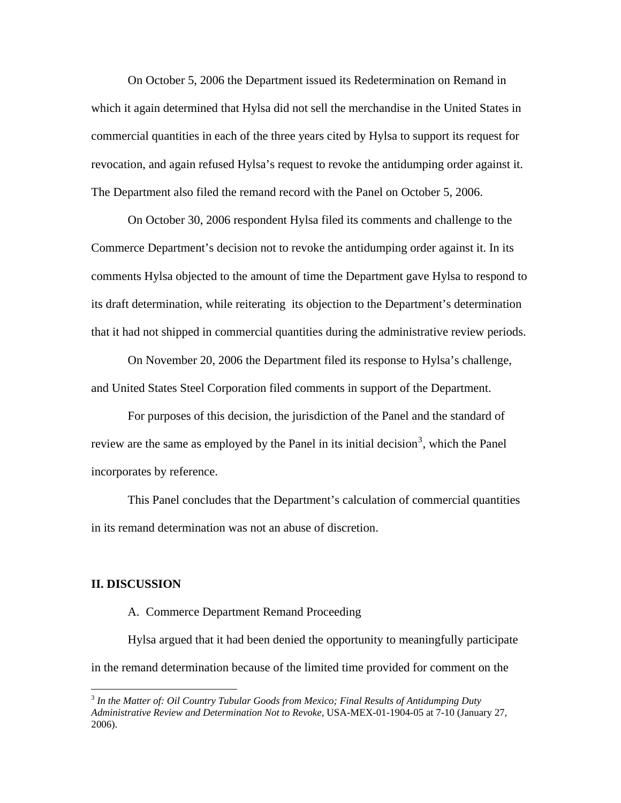On October 5, 2006 the Department issued its Redetermination on Remand in which it again determined that Hylsa did not sell the merchandise in the United States in commercial quantities in each of the three years cited by Hylsa to support its request for revocation, and again refused Hylsa's request to revoke the antidumping order against it. The Department also filed the remand record with the Panel on October 5, 2006.

 On October 30, 2006 respondent Hylsa filed its comments and challenge to the Commerce Department's decision not to revoke the antidumping order against it. In its comments Hylsa objected to the amount of time the Department gave Hylsa to respond to its draft determination, while reiterating its objection to the Department's determination that it had not shipped in commercial quantities during the administrative review periods.

 On November 20, 2006 the Department filed its response to Hylsa's challenge, and United States Steel Corporation filed comments in support of the Department.

For purposes of this decision, the jurisdiction of the Panel and the standard of review are the same as employed by the Panel in its initial decision<sup>[3](#page-2-0)</sup>, which the Panel incorporates by reference.

This Panel concludes that the Department's calculation of commercial quantities in its remand determination was not an abuse of discretion.

#### **II. DISCUSSION**

 $\overline{a}$ 

#### A. Commerce Department Remand Proceeding

Hylsa argued that it had been denied the opportunity to meaningfully participate in the remand determination because of the limited time provided for comment on the

<span id="page-2-0"></span><sup>3</sup> *In the Matter of: Oil Country Tubular Goods from Mexico; Final Results of Antidumping Duty Administrative Review and Determination Not to Revoke,* USA-MEX-01-1904-05 at 7-10 (January 27, 2006).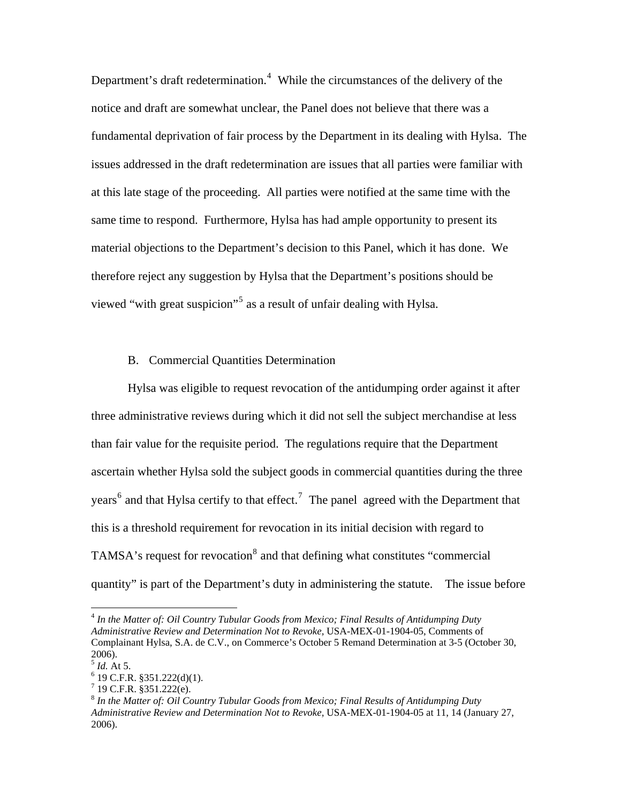Department's draft redetermination.<sup>[4](#page-3-0)</sup> While the circumstances of the delivery of the notice and draft are somewhat unclear, the Panel does not believe that there was a fundamental deprivation of fair process by the Department in its dealing with Hylsa. The issues addressed in the draft redetermination are issues that all parties were familiar with at this late stage of the proceeding. All parties were notified at the same time with the same time to respond. Furthermore, Hylsa has had ample opportunity to present its material objections to the Department's decision to this Panel, which it has done. We therefore reject any suggestion by Hylsa that the Department's positions should be viewed "with great suspicion"<sup>[5](#page-3-1)</sup> as a result of unfair dealing with Hylsa.

#### B. Commercial Quantities Determination

Hylsa was eligible to request revocation of the antidumping order against it after three administrative reviews during which it did not sell the subject merchandise at less than fair value for the requisite period. The regulations require that the Department ascertain whether Hylsa sold the subject goods in commercial quantities during the three years<sup>[6](#page-3-2)</sup> and that Hylsa certify to that effect.<sup>[7](#page-3-3)</sup> The panel agreed with the Department that this is a threshold requirement for revocation in its initial decision with regard to TAMSA's request for revocation<sup>[8](#page-3-4)</sup> and that defining what constitutes "commercial quantity" is part of the Department's duty in administering the statute. The issue before

<span id="page-3-0"></span><sup>4</sup> *In the Matter of: Oil Country Tubular Goods from Mexico; Final Results of Antidumping Duty Administrative Review and Determination Not to Revoke,* USA-MEX-01-1904-05, Comments of Complainant Hylsa, S.A. de C.V., on Commerce's October 5 Remand Determination at 3-5 (October 30, 2006).

 $<sup>5</sup>$  *Id.* At 5.</sup>

<span id="page-3-2"></span><span id="page-3-1"></span> $6$  19 C.F.R. §351.222(d)(1).

 $7$  19 C.F.R. §351.222(e).

<span id="page-3-4"></span><span id="page-3-3"></span><sup>8</sup> *In the Matter of: Oil Country Tubular Goods from Mexico; Final Results of Antidumping Duty Administrative Review and Determination Not to Revoke,* USA-MEX-01-1904-05 at 11, 14 (January 27, 2006).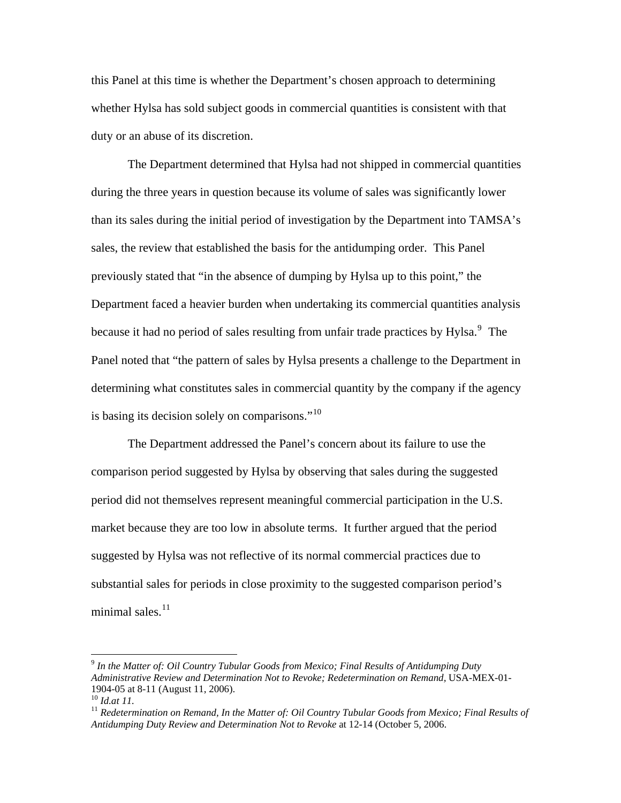this Panel at this time is whether the Department's chosen approach to determining whether Hylsa has sold subject goods in commercial quantities is consistent with that duty or an abuse of its discretion.

The Department determined that Hylsa had not shipped in commercial quantities during the three years in question because its volume of sales was significantly lower than its sales during the initial period of investigation by the Department into TAMSA's sales, the review that established the basis for the antidumping order. This Panel previously stated that "in the absence of dumping by Hylsa up to this point," the Department faced a heavier burden when undertaking its commercial quantities analysis because it had no period of sales resulting from unfair trade practices by Hylsa.<sup>[9](#page-4-0)</sup> The Panel noted that "the pattern of sales by Hylsa presents a challenge to the Department in determining what constitutes sales in commercial quantity by the company if the agency is basing its decision solely on comparisons."<sup>[10](#page-4-1)</sup>

The Department addressed the Panel's concern about its failure to use the comparison period suggested by Hylsa by observing that sales during the suggested period did not themselves represent meaningful commercial participation in the U.S. market because they are too low in absolute terms. It further argued that the period suggested by Hylsa was not reflective of its normal commercial practices due to substantial sales for periods in close proximity to the suggested comparison period's minimal sales.<sup>[11](#page-4-2)</sup>

<span id="page-4-0"></span><sup>9</sup> *In the Matter of: Oil Country Tubular Goods from Mexico; Final Results of Antidumping Duty Administrative Review and Determination Not to Revoke; Redetermination on Remand,* USA-MEX-01- 1904-05 at 8-11 (August 11, 2006).<br><sup>10</sup> *Id.at 11*.

<span id="page-4-1"></span>

<span id="page-4-2"></span><sup>&</sup>lt;sup>11</sup> Redetermination on Remand, In the Matter of: Oil Country Tubular Goods from Mexico; Final Results of *Antidumping Duty Review and Determination Not to Revoke* at 12-14 (October 5, 2006.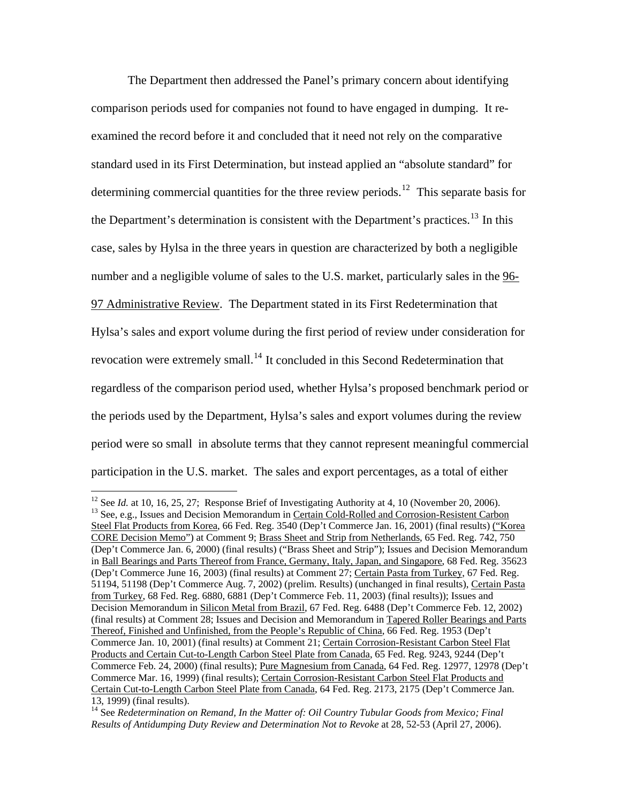The Department then addressed the Panel's primary concern about identifying comparison periods used for companies not found to have engaged in dumping. It reexamined the record before it and concluded that it need not rely on the comparative standard used in its First Determination, but instead applied an "absolute standard" for determining commercial quantities for the three review periods.<sup>[12](#page-5-0)</sup> This separate basis for the Department's determination is consistent with the Department's practices.<sup>[13](#page-5-1)</sup> In this case, sales by Hylsa in the three years in question are characterized by both a negligible number and a negligible volume of sales to the U.S. market, particularly sales in the 96- 97 Administrative Review. The Department stated in its First Redetermination that Hylsa's sales and export volume during the first period of review under consideration for revocation were extremely small.<sup>[14](#page-5-2)</sup> It concluded in this Second Redetermination that regardless of the comparison period used, whether Hylsa's proposed benchmark period or the periods used by the Department, Hylsa's sales and export volumes during the review period were so small in absolute terms that they cannot represent meaningful commercial participation in the U.S. market. The sales and export percentages, as a total of either

<span id="page-5-1"></span><span id="page-5-0"></span><sup>&</sup>lt;sup>12</sup> See *Id.* at 10, 16, 25, 27; Response Brief of Investigating Authority at 4, 10 (November 20, 2006).<br><sup>13</sup> See, e.g., Issues and Decision Memorandum in <u>Certain Cold-Rolled and Corrosion-Resistent Carbon</u> Steel Flat Products from Korea, 66 Fed. Reg. 3540 (Dep't Commerce Jan. 16, 2001) (final results) ("Korea CORE Decision Memo") at Comment 9; Brass Sheet and Strip from Netherlands, 65 Fed. Reg. 742, 750 (Dep't Commerce Jan. 6, 2000) (final results) ("Brass Sheet and Strip"); Issues and Decision Memorandum in Ball Bearings and Parts Thereof from France, Germany, Italy, Japan, and Singapore, 68 Fed. Reg. 35623 (Dep't Commerce June 16, 2003) (final results) at Comment 27; Certain Pasta from Turkey, 67 Fed. Reg. 51194, 51198 (Dep't Commerce Aug. 7, 2002) (prelim. Results) (unchanged in final results), Certain Pasta from Turkey, 68 Fed. Reg. 6880, 6881 (Dep't Commerce Feb. 11, 2003) (final results)); Issues and Decision Memorandum in Silicon Metal from Brazil, 67 Fed. Reg. 6488 (Dep't Commerce Feb. 12, 2002) (final results) at Comment 28; Issues and Decision and Memorandum in Tapered Roller Bearings and Parts Thereof, Finished and Unfinished, from the People's Republic of China, 66 Fed. Reg. 1953 (Dep't Commerce Jan. 10, 2001) (final results) at Comment 21; Certain Corrosion-Resistant Carbon Steel Flat Products and Certain Cut-to-Length Carbon Steel Plate from Canada, 65 Fed. Reg. 9243, 9244 (Dep't Commerce Feb. 24, 2000) (final results); Pure Magnesium from Canada, 64 Fed. Reg. 12977, 12978 (Dep't Commerce Mar. 16, 1999) (final results); Certain Corrosion-Resistant Carbon Steel Flat Products and Certain Cut-to-Length Carbon Steel Plate from Canada, 64 Fed. Reg. 2173, 2175 (Dep't Commerce Jan. 13, 1999) (final results).

<span id="page-5-2"></span><sup>&</sup>lt;sup>14</sup> See *Redetermination on Remand, In the Matter of: Oil Country Tubular Goods from Mexico; Final Results of Antidumping Duty Review and Determination Not to Revoke* at 28, 52-53 (April 27, 2006).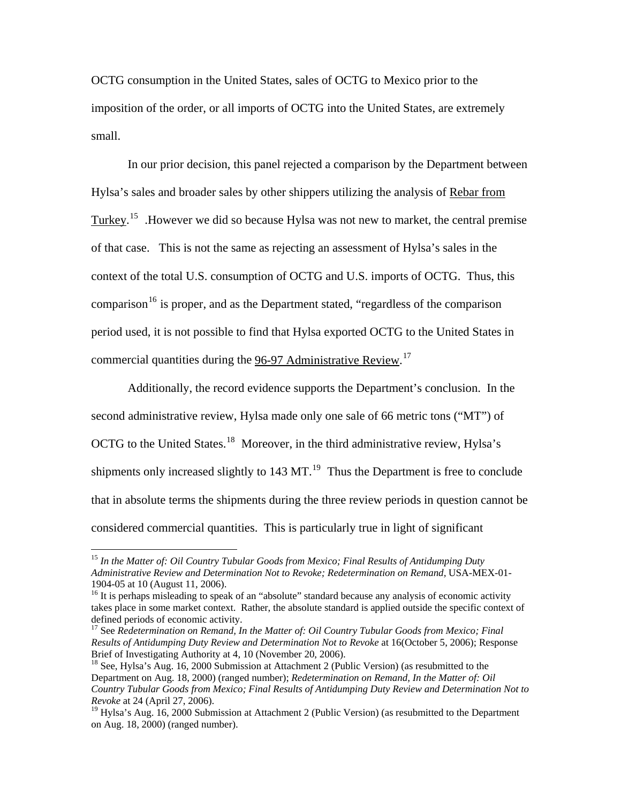OCTG consumption in the United States, sales of OCTG to Mexico prior to the imposition of the order, or all imports of OCTG into the United States, are extremely small.

In our prior decision, this panel rejected a comparison by the Department between Hylsa's sales and broader sales by other shippers utilizing the analysis of Rebar from Turkey.<sup>[15](#page-6-0)</sup> However we did so because Hylsa was not new to market, the central premise of that case. This is not the same as rejecting an assessment of Hylsa's sales in the context of the total U.S. consumption of OCTG and U.S. imports of OCTG. Thus, this comparison<sup>[16](#page-6-1)</sup> is proper, and as the Department stated, "regardless of the comparison period used, it is not possible to find that Hylsa exported OCTG to the United States in commercial quantities during the 96-97 Administrative Review.<sup>[17](#page-6-2)</sup>

Additionally, the record evidence supports the Department's conclusion. In the second administrative review, Hylsa made only one sale of 66 metric tons ("MT") of OCTG to the United States.<sup>[18](#page-6-3)</sup> Moreover, in the third administrative review, Hylsa's shipments only increased slightly to  $143 \text{ MT}$ .<sup>[19](#page-6-4)</sup> Thus the Department is free to conclude that in absolute terms the shipments during the three review periods in question cannot be considered commercial quantities. This is particularly true in light of significant

<span id="page-6-0"></span><sup>15</sup> *In the Matter of: Oil Country Tubular Goods from Mexico; Final Results of Antidumping Duty Administrative Review and Determination Not to Revoke; Redetermination on Remand,* USA-MEX-01- 1904-05 at 10 (August 11, 2006).

<span id="page-6-1"></span><sup>&</sup>lt;sup>16</sup> It is perhaps misleading to speak of an "absolute" standard because any analysis of economic activity takes place in some market context. Rather, the absolute standard is applied outside the specific context of defined periods of economic activity.

<span id="page-6-2"></span><sup>&</sup>lt;sup>17</sup> See *Redetermination on Remand, In the Matter of: Oil Country Tubular Goods from Mexico; Final Results of Antidumping Duty Review and Determination Not to Revoke* at 16(October 5, 2006); Response Brief of Investigating Authority at 4, 10 (November 20, 2006).

<span id="page-6-3"></span><sup>&</sup>lt;sup>18</sup> See, Hylsa's Aug. 16, 2000 Submission at Attachment 2 (Public Version) (as resubmitted to the Department on Aug. 18, 2000) (ranged number); *Redetermination on Remand, In the Matter of: Oil Country Tubular Goods from Mexico; Final Results of Antidumping Duty Review and Determination Not to Revoke* at 24 (April 27, 2006).

<span id="page-6-4"></span><sup>&</sup>lt;sup>19</sup> Hylsa's Aug. 16, 2000 Submission at Attachment 2 (Public Version) (as resubmitted to the Department on Aug. 18, 2000) (ranged number).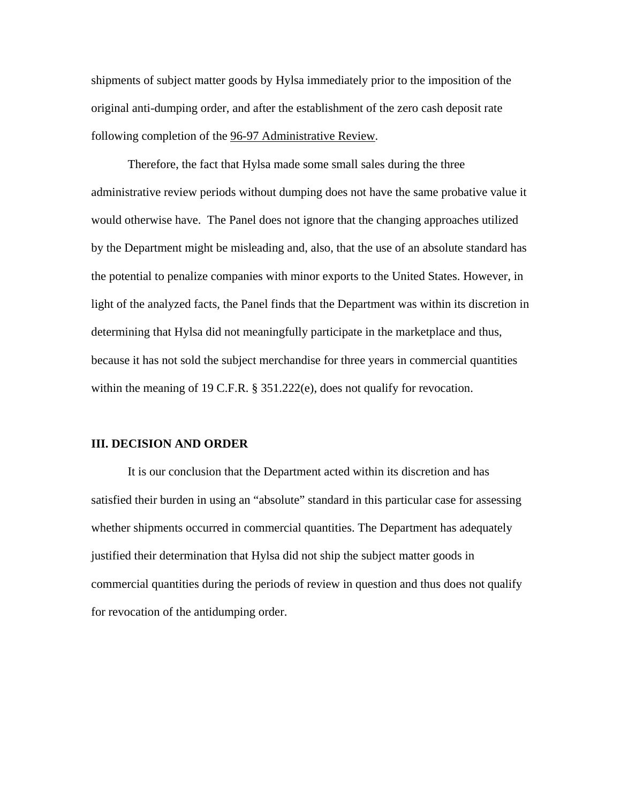shipments of subject matter goods by Hylsa immediately prior to the imposition of the original anti-dumping order, and after the establishment of the zero cash deposit rate following completion of the 96-97 Administrative Review.

Therefore, the fact that Hylsa made some small sales during the three administrative review periods without dumping does not have the same probative value it would otherwise have. The Panel does not ignore that the changing approaches utilized by the Department might be misleading and, also, that the use of an absolute standard has the potential to penalize companies with minor exports to the United States. However, in light of the analyzed facts, the Panel finds that the Department was within its discretion in determining that Hylsa did not meaningfully participate in the marketplace and thus, because it has not sold the subject merchandise for three years in commercial quantities within the meaning of 19 C.F.R. § 351.222(e), does not qualify for revocation.

#### **III. DECISION AND ORDER**

 It is our conclusion that the Department acted within its discretion and has satisfied their burden in using an "absolute" standard in this particular case for assessing whether shipments occurred in commercial quantities. The Department has adequately justified their determination that Hylsa did not ship the subject matter goods in commercial quantities during the periods of review in question and thus does not qualify for revocation of the antidumping order.